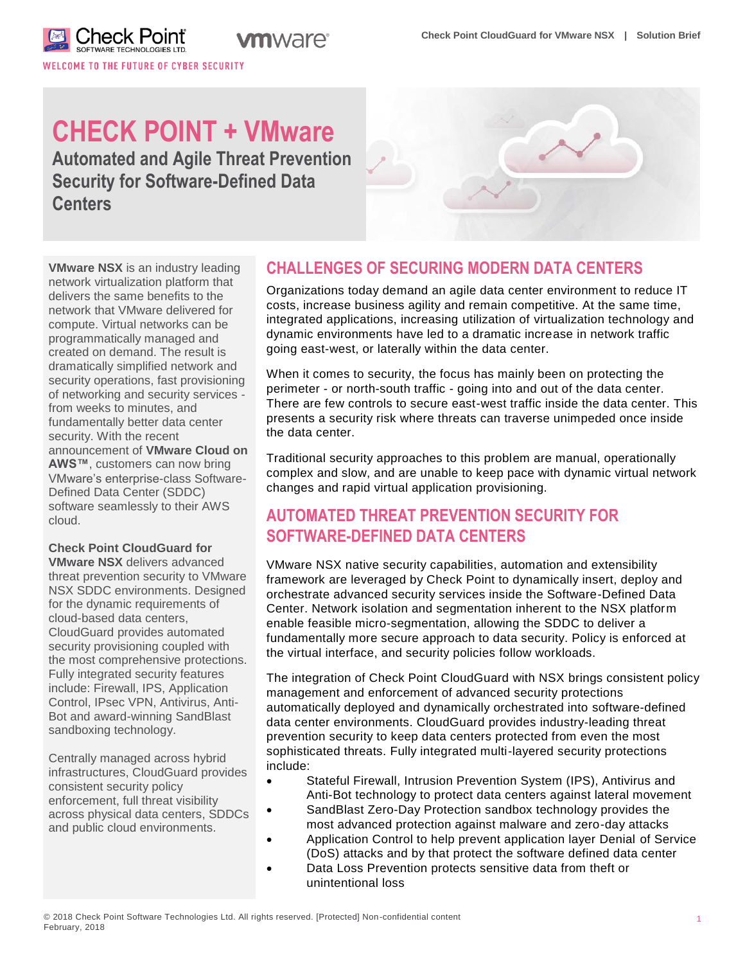WELCOME TO THE FUTURE OF CYBER SECURITY

# **CHECK POINT + VMware**

**n**ware®

**Automated and Agile Threat Prevention Security for Software-Defined Data Centers**



**VMware NSX** is an industry leading network virtualization platform that delivers the same benefits to the network that VMware delivered for compute. Virtual networks can be programmatically managed and created on demand. The result is dramatically simplified network and security operations, fast provisioning of networking and security services from weeks to minutes, and fundamentally better data center security. With the recent announcement of **VMware Cloud on AWS™**, customers can now bring VMware's enterprise-class Software-Defined Data Center (SDDC) software seamlessly to their AWS cloud.

## **Check Point CloudGuard for**

**VMware NSX** delivers advanced threat prevention security to VMware NSX SDDC environments. Designed for the dynamic requirements of cloud-based data centers, CloudGuard provides automated security provisioning coupled with the most comprehensive protections. Fully integrated security features include: Firewall, IPS, Application Control, IPsec VPN, Antivirus, Anti-Bot and award-winning SandBlast sandboxing technology.

Centrally managed across hybrid infrastructures, CloudGuard provides consistent security policy enforcement, full threat visibility across physical data centers, SDDCs and public cloud environments.

## **CHALLENGES OF SECURING MODERN DATA CENTERS**

Organizations today demand an agile data center environment to reduce IT costs, increase business agility and remain competitive. At the same time, integrated applications, increasing utilization of virtualization technology and dynamic environments have led to a dramatic increase in network traffic going east-west, or laterally within the data center.

When it comes to security, the focus has mainly been on protecting the perimeter - or north-south traffic - going into and out of the data center. There are few controls to secure east-west traffic inside the data center. This presents a security risk where threats can traverse unimpeded once inside the data center.

Traditional security approaches to this problem are manual, operationally complex and slow, and are unable to keep pace with dynamic virtual network changes and rapid virtual application provisioning.

## **AUTOMATED THREAT PREVENTION SECURITY FOR SOFTWARE-DEFINED DATA CENTERS**

VMware NSX native security capabilities, automation and extensibility framework are leveraged by Check Point to dynamically insert, deploy and orchestrate advanced security services inside the Software-Defined Data Center. Network isolation and segmentation inherent to the NSX platform enable feasible micro-segmentation, allowing the SDDC to deliver a fundamentally more secure approach to data security. Policy is enforced at the virtual interface, and security policies follow workloads.

The integration of Check Point CloudGuard with NSX brings consistent policy management and enforcement of advanced security protections automatically deployed and dynamically orchestrated into software-defined data center environments. CloudGuard provides industry-leading threat prevention security to keep data centers protected from even the most sophisticated threats. Fully integrated multi-layered security protections include:

- Stateful Firewall, Intrusion Prevention System (IPS), Antivirus and Anti-Bot technology to protect data centers against lateral movement
- SandBlast Zero-Day Protection sandbox technology provides the most advanced protection against malware and zero-day attacks
- Application Control to help prevent application layer Denial of Service (DoS) attacks and by that protect the software defined data center
- Data Loss Prevention protects sensitive data from theft or unintentional loss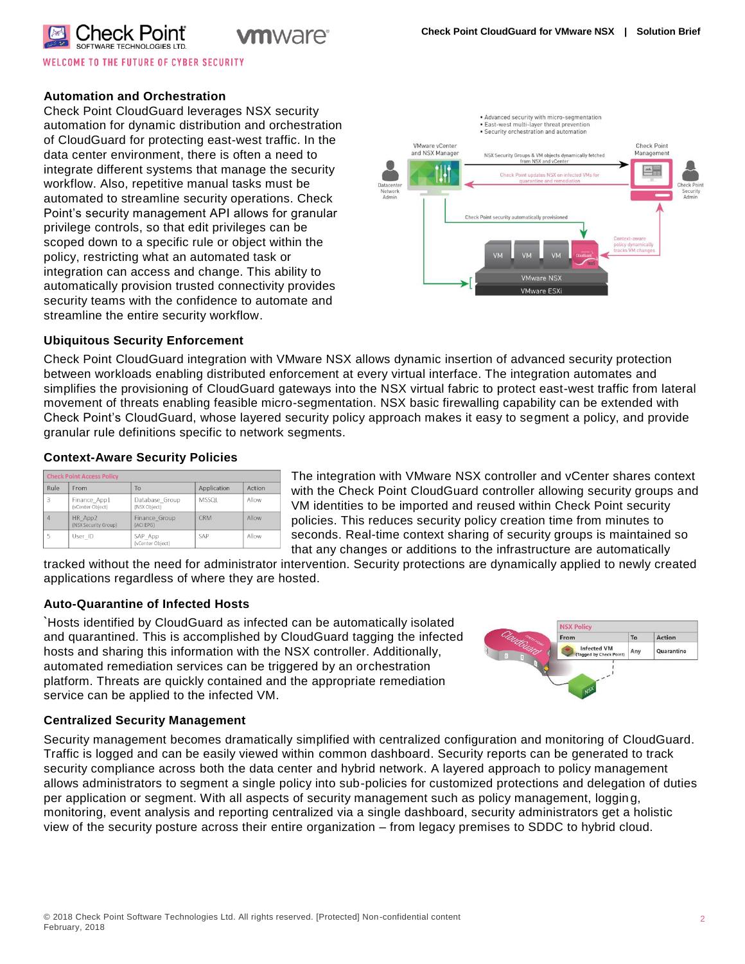

**WELCOME TO THE FUTURE OF CYBER SECURITY** 

#### **Automation and Orchestration**

Check Point CloudGuard leverages NSX security automation for dynamic distribution and orchestration of CloudGuard for protecting east-west traffic. In the data center environment, there is often a need to integrate different systems that manage the security workflow. Also, repetitive manual tasks must be automated to streamline security operations. Check Point's security management API allows for granular privilege controls, so that edit privileges can be scoped down to a specific rule or object within the policy, restricting what an automated task or integration can access and change. This ability to automatically provision trusted connectivity provides security teams with the confidence to automate and streamline the entire security workflow.

**I**WAre®



#### **Ubiquitous Security Enforcement**

Check Point CloudGuard integration with VMware NSX allows dynamic insertion of advanced security protection between workloads enabling distributed enforcement at every virtual interface. The integration automates and simplifies the provisioning of CloudGuard gateways into the NSX virtual fabric to protect east-west traffic from lateral movement of threats enabling feasible micro-segmentation. NSX basic firewalling capability can be extended with Check Point's CloudGuard, whose layered security policy approach makes it easy to segment a policy, and provide granular rule definitions specific to network segments.

#### **Context-Aware Security Policies**

| <b>Check Point Access Policy</b> |                                  |                                |              |        |
|----------------------------------|----------------------------------|--------------------------------|--------------|--------|
| Rule                             | From                             | To                             | Application  | Action |
| 3                                | Finance App1<br>(vCenter Obiect) | Database Group<br>(NSX Object) | <b>MSSQL</b> | Allow  |
| $\Delta$                         | HR App2<br>(NSX Security Group)  | Finance Group<br>(ACI EPG)     | <b>CRM</b>   | Allow  |
| 5                                | User ID                          | SAP App<br>(vCenter Object)    | SAP          | Allow  |

The integration with VMware NSX controller and vCenter shares context with the Check Point CloudGuard controller allowing security groups and VM identities to be imported and reused within Check Point security policies. This reduces security policy creation time from minutes to seconds. Real-time context sharing of security groups is maintained so that any changes or additions to the infrastructure are automatically

tracked without the need for administrator intervention. Security protections are dynamically applied to newly created applications regardless of where they are hosted.

#### **Auto-Quarantine of Infected Hosts**

**`**Hosts identified by CloudGuard as infected can be automatically isolated and quarantined. This is accomplished by CloudGuard tagging the infected hosts and sharing this information with the NSX controller. Additionally, automated remediation services can be triggered by an orchestration platform. Threats are quickly contained and the appropriate remediation service can be applied to the infected VM.



#### **Centralized Security Management**

Security management becomes dramatically simplified with centralized configuration and monitoring of CloudGuard. Traffic is logged and can be easily viewed within common dashboard. Security reports can be generated to track security compliance across both the data center and hybrid network. A layered approach to policy management allows administrators to segment a single policy into sub-policies for customized protections and delegation of duties per application or segment. With all aspects of security management such as policy management, logging, monitoring, event analysis and reporting centralized via a single dashboard, security administrators get a holistic view of the security posture across their entire organization – from legacy premises to SDDC to hybrid cloud.